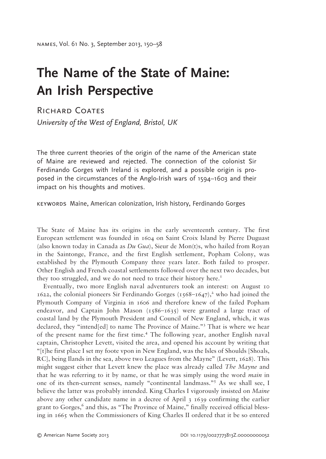# **The Name of the State of Maine: An Irish Perspective**

Richard Coates *University of the West of England, Bristol, UK*

The three current theories of the origin of the name of the American state of Maine are reviewed and rejected. The connection of the colonist Sir Ferdinando Gorges with Ireland is explored, and a possible origin is proposed in the circumstances of the Anglo-Irish wars of 1594–1603 and their impact on his thoughts and motives.

keywords Maine, American colonization, Irish history, Ferdinando Gorges

The State of Maine has its origins in the early seventeenth century. The first European settlement was founded in 1604 on Saint Croix Island by Pierre Duguast (also known today in Canada as *Du Gua*), Sieur de Mon(t)s, who hailed from Royan in the Saintonge, France, and the first English settlement, Popham Colony, was established by the Plymouth Company three years later. Both failed to prosper. Other English and French coastal settlements followed over the next two decades, but they too struggled, and we do not need to trace their history here.<sup>1</sup>

Eventually, two more English naval adventurers took an interest: on August 10 1622, the colonial pioneers Sir Ferdinando Gorges  $(1568 - 1647)^2$ , who had joined the Plymouth Company of Virginia in 1606 and therefore knew of the failed Popham endeavor, and Captain John Mason  $(\tau_586-\tau_635)$  were granted a large tract of coastal land by the Plymouth President and Council of New England, which, it was declared, they "intend[ed] to name The Province of Maine."3 That is where we hear of the present name for the first time.4 The following year, another English naval captain, Christopher Levett, visited the area, and opened his account by writing that "[t]he first place I set my foote vpon in New England, was the Isles of Shoulds [Shoals, RC], being Ilands in the sea, above two Leagues from the Mayne" (Levett, 1628). This might suggest either that Levett knew the place was already called *The Mayne* and that he was referring to it by name, or that he was simply using the word *main* in one of its then-current senses, namely "continental landmass."5 As we shall see, I believe the latter was probably intended. King Charles I vigorously insisted on *Maine* above any other candidate name in a decree of April 3 1639 confirming the earlier grant to Gorges,<sup>6</sup> and this, as "The Province of Maine," finally received official blessing in 1665 when the Commissioners of King Charles II ordered that it be so entered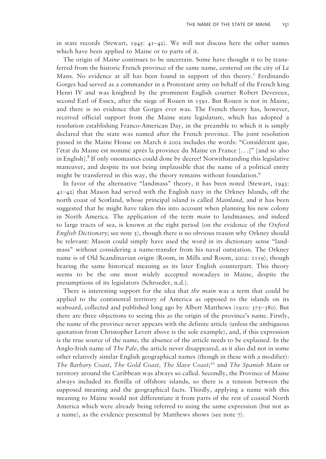in state records (Stewart, 1945:  $4I-42$ ). We will not discuss here the other names which have been applied to Maine or to parts of it.

The origin of *Maine* continues to be uncertain. Some have thought it to be transferred from the historic French province of the same name, centered on the city of Le Mans. No evidence at all has been found in support of this theory.<sup>7</sup> Ferdinando Gorges had served as a commander in a Protestant army on behalf of the French king Henri IV and was knighted by the prominent English courtier Robert Devereux, second Earl of Essex, after the siege of Rouen in 1591. But Rouen is not in Maine, and there is no evidence that Gorges ever was. The French theory has, however, received official support from the Maine state legislature, which has adopted a resolution establishing Franco-American Day, in the preamble to which it is simply declared that the state was named after the French province. The joint resolution passed in the Maine House on March 6 2002 includes the words: "Considérant que, l'état du Maine est nommé après la province du Maine en France [. . .]" [and so also in English].<sup>8</sup> If only onomastics could done by decree! Notwithstanding this legislative maneuver, and despite its not being implausible that the name of a political entity might be transferred in this way, the theory remains without foundation.<sup>9</sup>

In favor of the alternative "landmass" theory, it has been noted (Stewart, 1945: 41–42) that Mason had served with the English navy in the Orkney Islands, off the north coast of Scotland, whose principal island is called *Mainland*, and it has been suggested that he might have taken this into account when planning his new colony in North America. The application of the term *main* to landmasses, and indeed to large tracts of sea, is known at the right period (on the evidence of the *Oxford English Dictionary*; see note 5), though there is no obvious reason why Orkney should be relevant: Mason could simply have used the word in its dictionary sense "landmass" without considering a name-transfer from his naval outstation. The Orkney name is of Old Scandinavian origin (Room, in Mills and Room, 2002: 1119), though bearing the same historical meaning as its later English counterpart. This theory seems to be the one most widely accepted nowadays in Maine, despite the presumptions of its legislators (Schroeder, n.d.).

There is interesting support for the idea that *the main* was a term that could be applied to the continental territory of America as opposed to the islands on its seaboard, collected and published long ago by Albert Matthews (1910: 375–380). But there are three objections to seeing this as the origin of the province's name. Firstly, the name of the province never appears with the definite article (unless the ambiguous quotation from Christopher Levett above is the sole example), and, if this expression is the true source of the name, the absence of the article needs to be explained. In the Anglo-Irish name of *The Pale*, the article never disappeared, as it also did not in some other relatively similar English geographical names (though in these with a modifier): *The Barbary Coast*, *The Gold Coast*, *The Slave Coast*; 10 and *The Spanish Main* or territory around the Caribbean was always so called. Secondly, the Province of Maine always included its flotilla of offshore islands, so there is a tension between the supposed meaning and the geographical facts. Thirdly, applying a name with this meaning to Maine would not differentiate it from parts of the rest of coastal North America which were already being referred to using the same expression (but not as a name), as the evidence presented by Matthews shows (see note 7).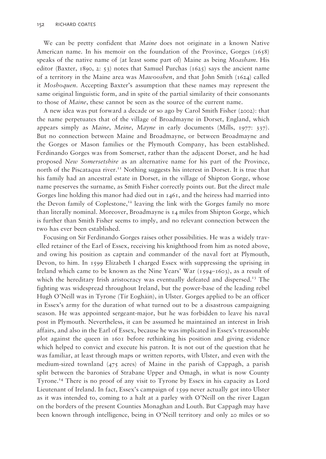We can be pretty confident that *Maine* does not originate in a known Native American name. In his memoir on the foundation of the Province, Gorges (1658) speaks of the native name of (at least some part of) Maine as being *Moasham*. His editor (Baxter, 1890, 2: 53) notes that Samuel Purchas (1625) says the ancient name of a territory in the Maine area was *Mawooshen*, and that John Smith (1624) called it *Moshoquen*. Accepting Baxter's assumption that these names may represent the same original linguistic form, and in spite of the partial similarity of their consonants to those of *Maine*, these cannot be seen as the source of the current name.

A new idea was put forward a decade or so ago by Carol Smith Fisher (2002): that the name perpetuates that of the village of Broadmayne in Dorset, England, which appears simply as *Maine*, *Meine*, *Mayne* in early documents (Mills, 1977: 337). But no connection between Maine and Broadmayne, or between Broadmayne and the Gorges or Mason families or the Plymouth Company, has been established. Ferdinando Gorges was from Somerset, rather than the adjacent Dorset, and he had proposed *New Somersetshire* as an alternative name for his part of the Province, north of the Piscataqua river.<sup>11</sup> Nothing suggests his interest in Dorset. It is true that his family had an ancestral estate in Dorset, in the village of Shipton Gorge, whose name preserves the surname, as Smith Fisher correctly points out. But the direct male Gorges line holding this manor had died out in  $1461$ , and the heiress had married into the Devon family of Coplestone,<sup>12</sup> leaving the link with the Gorges family no more than literally nominal. Moreover, Broadmayne is 14 miles from Shipton Gorge, which is further than Smith Fisher seems to imply, and no relevant connection between the two has ever been established.

Focusing on Sir Ferdinando Gorges raises other possibilities. He was a widely travelled retainer of the Earl of Essex, receiving his knighthood from him as noted above, and owing his position as captain and commander of the naval fort at Plymouth, Devon, to him. In 1599 Elizabeth I charged Essex with suppressing the uprising in Ireland which came to be known as the Nine Years' War  $(\frac{1594}{-1603})$ , as a result of which the hereditary Irish aristocracy was eventually defeated and dispersed.<sup>13</sup> The fighting was widespread throughout Ireland, but the power-base of the leading rebel Hugh O'Neill was in Tyrone (Tír Eogháin), in Ulster. Gorges applied to be an officer in Essex's army for the duration of what turned out to be a disastrous campaigning season. He was appointed sergeant-major, but he was forbidden to leave his naval post in Plymouth. Nevertheless, it can be assumed he maintained an interest in Irish affairs, and also in the Earl of Essex, because he was implicated in Essex's treasonable plot against the queen in 1601 before rethinking his position and giving evidence which helped to convict and execute his patron. It is not out of the question that he was familiar, at least through maps or written reports, with Ulster, and even with the medium-sized townland  $(475 \text{ acres})$  of Maine in the parish of Cappagh, a parish split between the baronies of Strabane Upper and Omagh, in what is now County Tyrone.14 There is no proof of any visit to Tyrone by Essex in his capacity as Lord Lieutenant of Ireland. In fact, Essex's campaign of 1599 never actually got into Ulster as it was intended to, coming to a halt at a parley with O'Neill on the river Lagan on the borders of the present Counties Monaghan and Louth. But Cappagh may have been known through intelligence, being in O'Neill territory and only 20 miles or so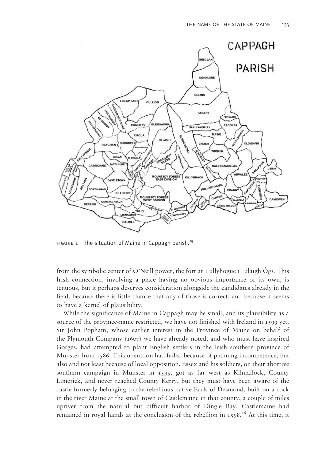

FIGURE 1 The situation of Maine in Cappagh parish.<sup>15</sup>

from the symbolic center of O'Neill power, the fort at Tullyhogue (Tulaigh Óg). This Irish connection, involving a place having no obvious importance of its own, is tenuous, but it perhaps deserves consideration alongside the candidates already in the field, because there is little chance that any of those is correct, and because it seems to have a kernel of plausibility.

While the significance of Maine in Cappagh may be small, and its plausibility as a source of the province-name restricted, we have not finished with Ireland in 1599 yet. Sir John Popham, whose earlier interest in the Province of Maine on behalf of the Plymouth Company (1607) we have already noted, and who must have inspired Gorges, had attempted to plant English settlers in the Irish southern province of Munster from 1586. This operation had failed because of planning incompetence, but also and not least because of local opposition. Essex and his soldiers, on their abortive southern campaign in Munster in 1599, got as far west as Kilmallock, County Limerick, and never reached County Kerry, but they must have been aware of the castle formerly belonging to the rebellious native Earls of Desmond, built on a rock in the river Maine at the small town of Castlemaine in that county, a couple of miles upriver from the natural but difficult harbor of Dingle Bay. Castlemaine had remained in royal hands at the conclusion of the rebellion in 1598.<sup>16</sup> At this time, it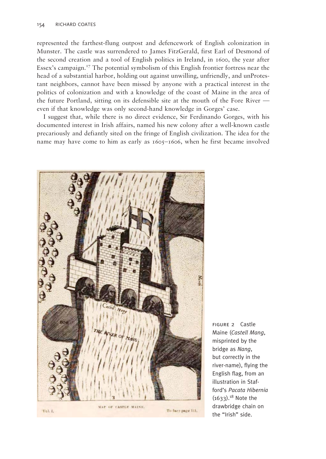represented the farthest-flung outpost and defencework of English colonization in Munster. The castle was surrendered to James FitzGerald, first Earl of Desmond of the second creation and a tool of English politics in Ireland, in 1600, the year after Essex's campaign.<sup>17</sup> The potential symbolism of this English frontier fortress near the head of a substantial harbor, holding out against unwilling, unfriendly, and unProtestant neighbors, cannot have been missed by anyone with a practical interest in the politics of colonization and with a knowledge of the coast of Maine in the area of the future Portland, sitting on its defensible site at the mouth of the Fore River even if that knowledge was only second-hand knowledge in Gorges' case.

I suggest that, while there is no direct evidence, Sir Ferdinando Gorges, with his documented interest in Irish affairs, named his new colony after a well-known castle precariously and defiantly sited on the fringe of English civilization. The idea for the name may have come to him as early as 1605–1606, when he first became involved



figure 2 Castle Maine (*Castell Mang*, misprinted by the bridge as *Nang*, but correctly in the river-name), flying the English flag, from an illustration in Stafford's *Pacata Hibernia*  $(1633).^{18}$  Note the drawbridge chain on the "Irish" side.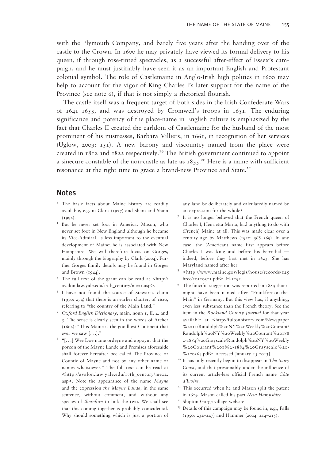with the Plymouth Company, and barely five years after the handing over of the castle to the Crown. In 1600 he may privately have viewed its formal delivery to his queen, if through rose-tinted spectacles, as a successful after-effect of Essex's campaign, and he must justifiably have seen it as an important English and Protestant colonial symbol. The role of Castlemaine in Anglo-Irish high politics in 1600 may help to account for the vigor of King Charles I's later support for the name of the Province (see note 6), if that is not simply a rhetorical flourish.

The castle itself was a frequent target of both sides in the Irish Confederate Wars of  $1641$ – $1653$ , and was destroyed by Cromwell's troops in  $1651$ . The enduring significance and potency of the place-name in English culture is emphasized by the fact that Charles II created the earldom of Castlemaine for the husband of the most prominent of his mistresses, Barbara Villiers, in 1661, in recognition of her services (Uglow, 2009: 151). A new barony and viscountcy named from the place were created in  $1812$  and  $1822$  respectively.<sup>19</sup> The British government continued to appoint a sinecure constable of the non-castle as late as  $1835$ .<sup>20</sup> Here is a name with sufficient resonance at the right time to grace a brand-new Province and State.<sup>21</sup>

#### Notes

- <sup>1</sup> The basic facts about Maine history are readily available, e.g. in Clark (1977) and Shain and Shain  $(1992).$
- 2 But he never set foot in America. Mason, who never set foot in New England although he became its Vice-Admiral, is less important to the eventual development of Maine; he is associated with New Hampshire. We will therefore focus on Gorges, mainly through the biography by Clark (2004). Further Gorges family details may be found in Gorges and Brown (1944).
- 3 The full text of the grant can be read at <http:// avalon.law.yale.edu/17th\_century/me01.asp>.<br><sup>4</sup> I have not found the source of Stewart's claim
- (1970: 274) that there is an earlier charter, of 1620, referring to "the country of the Main Land."
- <sup>5</sup> Oxford English Dictionary, main, noun 1, II, 4. and 5. The sense is clearly seen in the words of Archer (1602): "This Maine is the goodliest Continent that ever we saw [. . .]."
- 6 "[. . .] Wee Doe name ordeyne and appoynt that the porcon of the Mayne Lande and Premises aforesaide shall forever hereafter bee called The Province or Countie of Mayne and not by any other name or names whatsoever." The full text can be read at <http://avalon.law.yale.edu/17th\_century/me02. asp>. Note the appearance of the name *Mayne* and the expression *the Mayne Lande*, in the same sentence, without comment, and without any species of *therefore* to link the two. We shall see that this coming-together is probably coincidental. Why should something which is just a portion of

any land be deliberately and calculatedly named by an expression for the whole?

- It is no longer believed that the French queen of Charles I, Henrietta Maria, had anything to do with (French) Maine at all. This was made clear over a century ago by Matthews (1910: 368–369). In any case, the (American) name first appears before Charles I was king and before his betrothal indeed, before they first met in 1623. She has Maryland named after her.<br>8 <http://www.maine.gov/legis/house/records/125
- hrec/20120321.pdf>, H-1291.<br><sup>9</sup> The fanciful suggestion was reported in 1883 that it
- might have been named after "Frankfort-on-the-Main" in Germany. But this view has, if anything, even less substance than the French theory. See the item in the *Rockland County Journal* for that year available at <http://fultonhistory.com/Newspaper %2011/Randolph%20NY%20Weekly%20Courant/ Randolph%20NY%20Weekly%20Courant%20188 2-1884%20Grayscale/Randolph%20NY%20Weekly %20Courant%201882-1884%20Grayscale%20- %200364.pdf> [accessed January 15 2013].
- 10 It has only recently begun to disappear in *The Ivory Coast*, and that presumably under the influence of its current article-less official French name *Côte d'Ivoire*. 11 This occurred when he and Mason split the patent
- in 1629. Mason called his part *New Hampshire*.
- <sup>12</sup> Shipton Gorge village website.
- <sup>13</sup> Details of this campaign may be found in, e.g., Falls (1950: 232–247) and Hammer (2004: 214–215).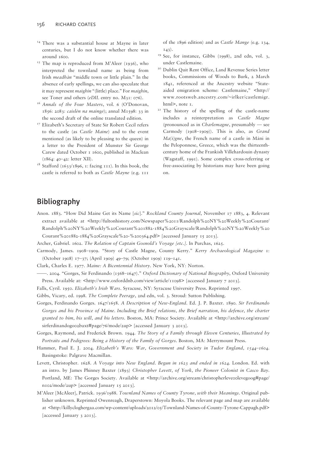- <sup>14</sup> There was a substantial house at Mayne in later centuries, but I do not know whether there was around 1600.
- <sup>15</sup> The map is reproduced from M'Aleer (1936), who interpreted the townland name as being from Irish *meadhán* "middle town or little plain." In the absence of early spellings, we can also speculate that it may represent *maighín* "(little) place." For *maighín*, see Toner and others (*eDIL* entry no. M31: 076).
- <sup>16</sup>*Annals of the Four Masters*, vol. 6 (O'Donovan, 1856: 2083: *caislén na mainge*); annal M1598: 33 in the second draft of the online translated edition.
- <sup>17</sup> Elizabeth's Secretary of State Sir Robert Cecil refers to the castle (as *Castle Maine*) and to the event mentioned (as likely to be pleasing to the queen) in a letter to the President of Munster Sir George Carew dated October 1 1600, published in Maclean (1864: 40–42: letter XII).

 $18$  Stafford (1633/1896, 1: facing 111). In this book, the castle is referred to both as *Castle Mayne* (e.g. 111

of the 1896 edition) and as *Castle Mange* (e.g. 134,  $TA2$ ).

- <sup>19</sup> See, for instance, Gibbs (1998), 2nd edn, vol. 3, under Castlemaine.
- 20 Dublin Quit Rent Office, Land Revenue Series letter books, Commissions of Woods to Burk, 2 March 1841, referenced at the Ancestry website "Stateaided emigration scheme: Castlemaine," <http:// www.rootsweb.ancestry.com/~irlker/castlemigr. html>, note 1.<br><sup>21</sup> The history of the spelling of the castle-name
- includes a reinterpretation as *Castle Magne* (pronounced as in *Charlemagne*, presumably — see Carmody (1908–1909)). This is also, as *Grand Ma(i)gne*, the French name of a castle in Máni in the Peloponnese, Greece, which was the thirteenthcentury home of the Frankish Villehardouin dynasty (Wagstaff, 1991). Some complex cross-referring or free-associating by historians may have been going on.

### Bibliography

- Anon. 1883. "How Did Maine Get its Name [*sic*]." *Rockland County Journal*, November 17 1883, 4. Relevant extract available at <http://fultonhistory.com/Newspaper%2011/Randolph%20NY%20Weekly%20Courant/ Randolph%20NY%20Weekly%20Courant%201882-1884%20Grayscale/Randolph%20NY%20Weekly%20 Courant%201882-1884%20Grayscale%20-%200364.pdf> [accessed January 15 2013].
- Archer, Gabriel. 1602. *The Relation of Captain Gosnold's Voyage [etc.]*. In Purchas, 1625.
- Carmody, James. 1908–1909. "Story of Castle Magne, County Kerry." *Kerry Archaeological Magazine* 1: (October 1908) 17–37; (April 1909) 49–79; (October 1909) 119–141.
- Clark, Charles E. 1977. *Maine: A Bicentennial History*. New York, NY: Norton.
- ——. 2004. "Gorges, Sir Ferdinando (1568–1647)." *Oxford Dictionary of National Biography*, Oxford University Press. Available at: <http://www.oxforddnb.com/view/article/11098> [accessed January 7 2013].
- Falls, Cyril. 1950. *Elizabeth's Irish Wars*. Syracuse, NY: Syracuse University Press. Reprinted 1997.
- Gibbs, Vicary, ed. 1998. *The Complete Peerage*, 2nd edn, vol. 3. Stroud: Sutton Publishing.
- Gorges, Ferdinando Gorges. 1647/1658. *A Description of New-England*. Ed. J. P. Baxter. 1890. *Sir Ferdinando Gorges and his Province of Maine. Including the Brief relations, the Brief narration, his defence, the charter granted to him, his will, and his letters*. Boston, MA: Prince Society. Available at <http://archive.org/stream/ sirferdinandogoo2baxt#page/76/mode/2up> [accessed January 3 2013].
- Gorges, Raymond, and Frederick Brown. 1944. *The Story of a Family through Eleven Centuries, Illustrated by Portraits and Pedigrees: Being a History of the Family of Gorges*. Boston, MA: Merrymount Press.
- Hammer, Paul E. J. 2004. *Elizabeth's Wars: War, Government and Society in Tudor England, 1544*–*1604*. Basingstoke: Palgrave Macmillan.
- Levett, Christopher. 1628. *A Voyage into New England. Begun in 1623 and ended in 1624.* London. Ed. with an intro. by James Phinney Baxter (1893) *Christopher Levett, of York, the Pioneer Colonist in Casco Bay.* Portland, ME: The Gorges Society. Available at <http://archive.org/stream/christopherleve00levegoog#page/ n102/mode/2up> [accessed January 15 2013].
- M'Aleer [McAleer], Patrick. 1936/1988. *Townland Names of County Tyrone, with their Meanings.* Original publisher unknown. Reprinted Owenreagh, Draperstown: Moyola Books. The relevant page and map are available at <http://killycloghergaa.com/wp-content/uploads/2012/05/Townland-Names-of-County-Tyrone-Cappagh.pdf> [accessed January 3 2013].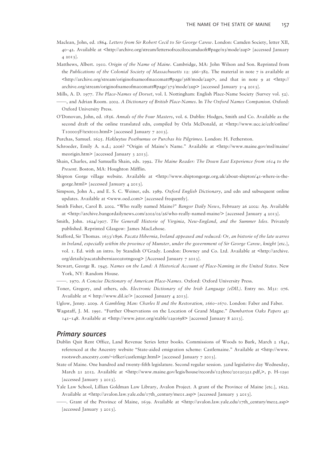- Maclean, John, ed. 1864. *Letters from Sir Robert Cecil to Sir George Carew*. London: Camden Society, letter XII, 40–42. Available at <http://archive.org/stream/lettersofrcecil00camduoft#page/n3/mode/2up> [accessed January 4 2013].
- Matthews, Albert. 1910. *Origin of the Name of Maine*. Cambridge, MA: John Wilson and Son. Reprinted from the *Publications of the Colonial Society of Massachusetts* 12: 366–382. The material in note 7 is available at <http://archive.org/stream/originofnameofma00matt#page/368/mode/2up>, and that in note 9 at <http:// archive.org/stream/originofnameofma00matt#page/375/mode/2up> [accessed January 3-4 2013].
- Mills, A. D. 1977. *The Place-Names of Dorset*, vol. I. Nottingham: English Place-Name Society (Survey vol. 52). ——, and Adrian Room. 2002. *A Dictionary of British Place-Names.* In *The Oxford Names Companion*. Oxford: Oxford University Press.
- O'Donovan, John, ed. 1856. *Annals of the Four Masters*, vol. 6. Dublin: Hodges, Smith and Co. Available as the second draft of the online translated edn, compiled by Orla McDonald, at <http://www.ucc.ie/celt/online/ T100005F/text010.html> [accessed January 7 2013].
- Purchas, Samuel. 1625. *Hakluytus Posthumus or Purchas his Pilgrimes*. London: H. Fetherston.
- Schroeder, Emily A. n.d.; 2006? "Origin of Maine's Name." Available at <http://www.maine.gov/msl/maine/ meorigin.htm> [accessed January 3 2013].
- Shain, Charles, and Samuella Shain, eds. 1992. *The Maine Reader: The Down East Experience from 1614 to the Present*. Boston, MA: Houghton Mifflin.
- Shipton Gorge village website. Available at <http://www.shiptongorge.org.uk/about-shipton/41-where-is-thegorge.html> [accessed January 4 2013].
- Simpson, John A., and E. S. C. Weiner, eds. 1989. *Oxford English Dictionary*, 2nd edn and subsequent online updates. Available at <www.oed.com> [accessed frequently].
- Smith Fisher, Carol B. 2002. "Who really named Maine?" *Bangor Daily News*, February 26 2002: A9. Available at <http://archive.bangordailynews.com/2002/02/26/who-really-named-maine/> [accessed January 4 2013].
- Smith, John. 1624/1907. *The Generall Historie of Virginia, New-England, and the Summer Isles*. Privately published. Reprinted Glasgow: James MacLehose.
- Stafford, Sir Thomas. 1633/1896. *Pacata Hibernia, Ireland appeased and reduced: Or, an historie of the late warres in Ireland, especially within the province of Munster, under the government of Sir George Carew, knight* [etc.], vol. 1. Ed. with an intro. by Standish O'Grady. London: Downey and Co. Ltd. Available at <http://archive. org/details/pacatahiberniao02totngoog> [Accessed January 7 2013].
- Stewart, George R. 1945. *Names on the Land: A Historical Account of Place-Naming in the United States*. New York, NY: Random House.
- ——. 1970. *A Concise Dictionary of American Place-Names*. Oxford: Oxford University Press.
- Toner, Gregory, and others, eds. *Electronic Dictionary of the Irish Language (eDIL).* Entry no. M31: 076. Available at < http://www.dil.ie/> [accessed January 4 2013].
- Uglow, Jenny. 2009. *A Gambling Man: Charles II and the Restoration, 1660*–*1670*. London: Faber and Faber.
- Wagstaff, J. M. 1991. "Further Observations on the Location of Grand Magne." *Dumbarton Oaks Papers* 45: 141–148. Available at <http://www.jstor.org/stable/1291698> [accessed January 8 2013].

#### *Primary sources*

- Dublin Quit Rent Office, Land Revenue Series letter books. Commissions of Woods to Burk, March 2 1841, referenced at the Ancestry website "State-aided emigration scheme: Castlemaine." Available at <http://www. rootsweb.ancestry.com/~irlker/castlemigr.html> [accessed January 7 2013].
- State of Maine. One hundred and twenty-fifth legislature. Second regular session. 32nd legislative day Wednesday, March 21 2012. Available at <http://www.maine.gov/legis/house/records/125hrec/20120321.pdf,>, p. H-1291 [accessed January 3 2013].
- Yale Law School, Lillian Goldman Law Library, Avalon Project. A grant of the Province of Maine [etc.], 1622. Available at <http://avalon.law.yale.edu/17th\_century/me01.asp> [accessed January 3 2013].
- ——. Grant of the Province of Maine, 1639. Available at <http://avalon.law.yale.edu/17th\_century/me02.asp> [accessed January 3 2013].